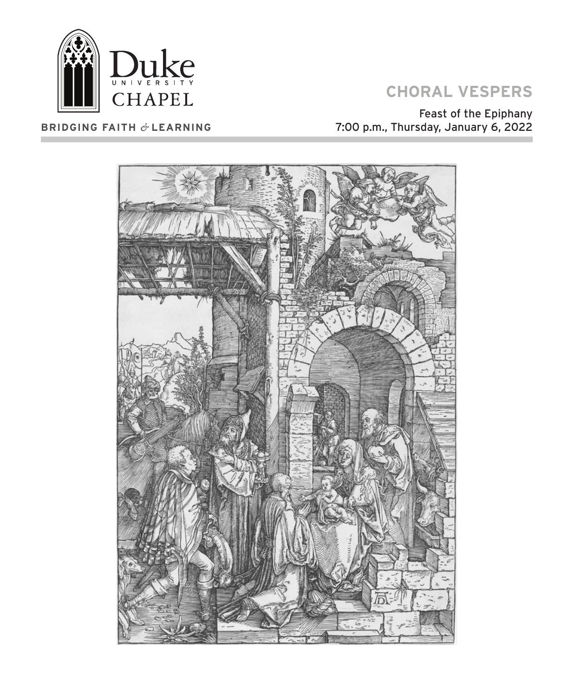

#### **BRIDGING FAITH** *&* **LEARNING**

# **CHORAL VESPERS**

Feast of the Epiphany 7:00 p.m., Thursday, January 6, 2022

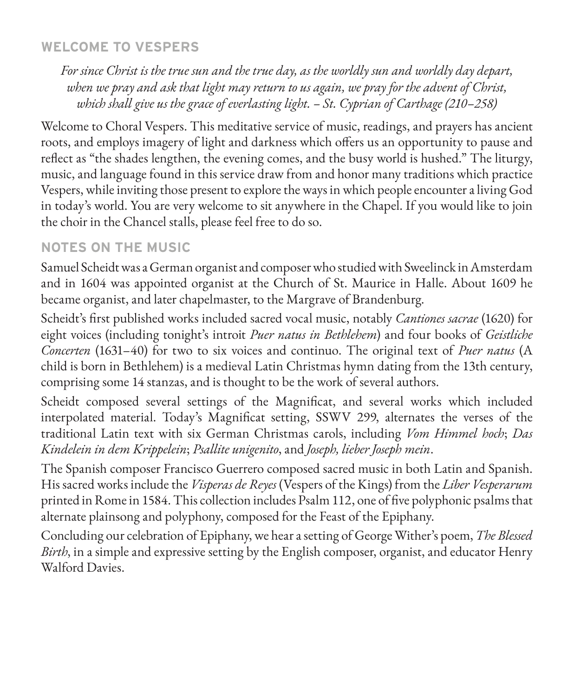## **WELCOME TO VESPERS**

*For since Christ is the true sun and the true day, as the worldly sun and worldly day depart, when we pray and ask that light may return to us again, we pray for the advent of Christ, which shall give us the grace of everlasting light. – St. Cyprian of Carthage (210–258)*

Welcome to Choral Vespers. This meditative service of music, readings, and prayers has ancient roots, and employs imagery of light and darkness which offers us an opportunity to pause and reflect as "the shades lengthen, the evening comes, and the busy world is hushed." The liturgy, music, and language found in this service draw from and honor many traditions which practice Vespers, while inviting those present to explore the ways in which people encounter a living God in today's world. You are very welcome to sit anywhere in the Chapel. If you would like to join the choir in the Chancel stalls, please feel free to do so.

### **NOTES ON THE MUSIC**

Samuel Scheidt was a German organist and composer who studied with Sweelinck in Amsterdam and in 1604 was appointed organist at the Church of St. Maurice in Halle. About 1609 he became organist, and later chapelmaster, to the Margrave of Brandenburg.

Scheidt's first published works included sacred vocal music, notably *Cantiones sacrae* (1620) for eight voices (including tonight's introit *Puer natus in Bethlehem*) and four books of *Geistliche Concerten* (1631–40) for two to six voices and continuo. The original text of *Puer natus* (A child is born in Bethlehem) is a medieval Latin Christmas hymn dating from the 13th century, comprising some 14 stanzas, and is thought to be the work of several authors.

Scheidt composed several settings of the Magnificat, and several works which included interpolated material. Today's Magnificat setting, SSWV 299, alternates the verses of the traditional Latin text with six German Christmas carols, including *Vom Himmel hoch*; *Das Kindelein in dem Krippelein*; *Psallite unigenito*, and *Joseph, lieber Joseph mein*.

The Spanish composer Francisco Guerrero composed sacred music in both Latin and Spanish. His sacred works include the *Visperas de Reyes* (Vespers of the Kings) from the *Liber Vesperarum*  printed in Rome in 1584. This collection includes Psalm 112, one of five polyphonic psalms that alternate plainsong and polyphony, composed for the Feast of the Epiphany.

Concluding our celebration of Epiphany, we hear a setting of George Wither's poem, *The Blessed Birth*, in a simple and expressive setting by the English composer, organist, and educator Henry Walford Davies.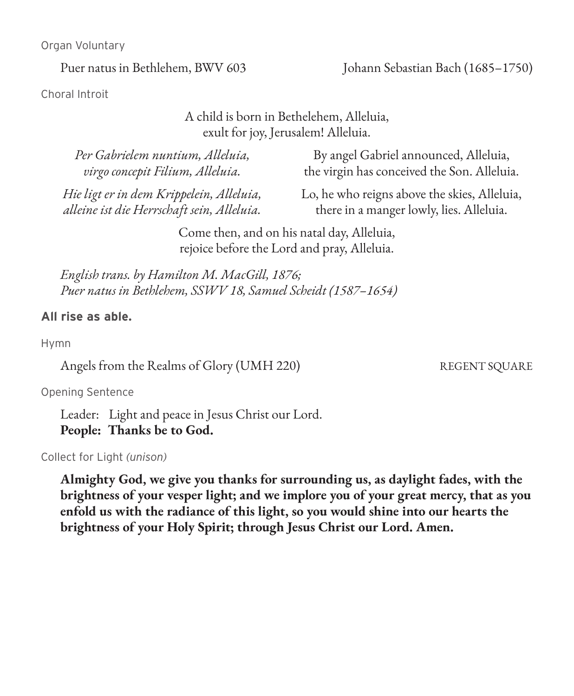Organ Voluntary

Puer natus in Bethlehem, BWV 603 Johann Sebastian Bach (1685–1750)

Choral Introit

#### A child is born in Bethelehem, Alleluia, exult for joy, Jerusalem! Alleluia.

*Per Gabrielem nuntium, Alleluia, virgo concepit Filium, Alleluia.*

By angel Gabriel announced, Alleluia, the virgin has conceived the Son. Alleluia.

*Hie ligt er in dem Krippelein, Alleluia, alleine ist die Herrschaft sein, Alleluia.*

Lo, he who reigns above the skies, Alleluia, there in a manger lowly, lies. Alleluia.

Come then, and on his natal day, Alleluia, rejoice before the Lord and pray, Alleluia.

*English trans. by Hamilton M. MacGill, 1876; Puer natus in Bethlehem, SSWV 18, Samuel Scheidt (1587–1654)*

#### **All rise as able.**

Hymn

Angels from the Realms of Glory (UMH 220) REGENT SQUARE

Opening Sentence

Leader: Light and peace in Jesus Christ our Lord. **People: Thanks be to God.**

Collect for Light *(unison)*

**Almighty God, we give you thanks for surrounding us, as daylight fades, with the brightness of your vesper light; and we implore you of your great mercy, that as you enfold us with the radiance of this light, so you would shine into our hearts the brightness of your Holy Spirit; through Jesus Christ our Lord. Amen.**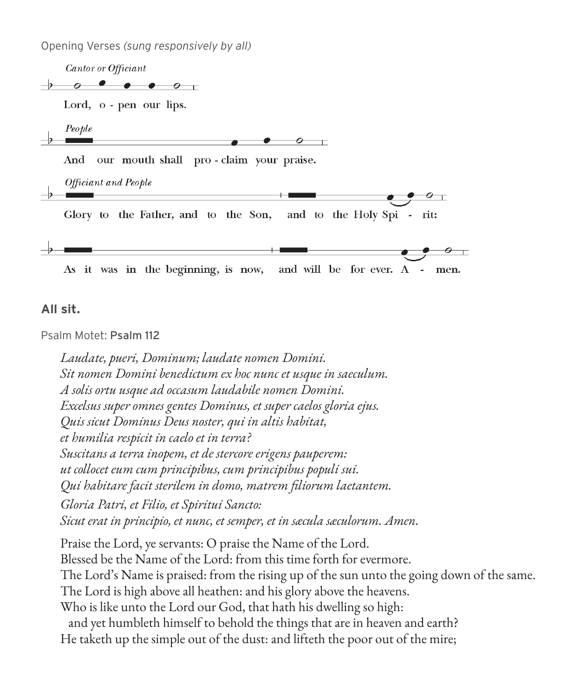Opening Verses *(sung responsively by all)*

Cantor or Officiant  $\rightarrow$   $\rightarrow$   $\rightarrow$   $\rightarrow$   $\rightarrow$   $\rightarrow$   $\rightarrow$   $\rightarrow$ Lord, o - pen our lips. People And our mouth shall pro-claim your praise. Officiant and People Glory to the Father, and to the Son, and to the Holy Spi rit: and will be for ever. A As it was in the beginning, is now, men.

**All sit.**

Psalm Motet: Psalm 112

*Laudate, pueri, Dominum; laudate nomen Domini. Sit nomen Domini benedictum ex hoc nunc et usque in saeculum. A solis ortu usque ad occasum laudabile nomen Domini. Excelsus super omnes gentes Dominus, et super caelos gloria ejus. Quis sicut Dominus Deus noster, qui in altis habitat, et humilia respicit in caelo et in terra? Suscitans a terra inopem, et de stercore erigens pauperem: ut collocet eum cum principibus, cum principibus populi sui. Qui habitare facit sterilem in domo, matrem filiorum laetantem.*

*Gloria Patri, et Filio, et Spiritui Sancto: Sicut erat in principio, et nunc, et semper, et in sæcula sæculorum. Amen.*

Praise the Lord, ye servants: O praise the Name of the Lord. Blessed be the Name of the Lord: from this time forth for evermore. The Lord's Name is praised: from the rising up of the sun unto the going down of the same. The Lord is high above all heathen: and his glory above the heavens. Who is like unto the Lord our God, that hath his dwelling so high: and yet humbleth himself to behold the things that are in heaven and earth? He taketh up the simple out of the dust: and lifteth the poor out of the mire;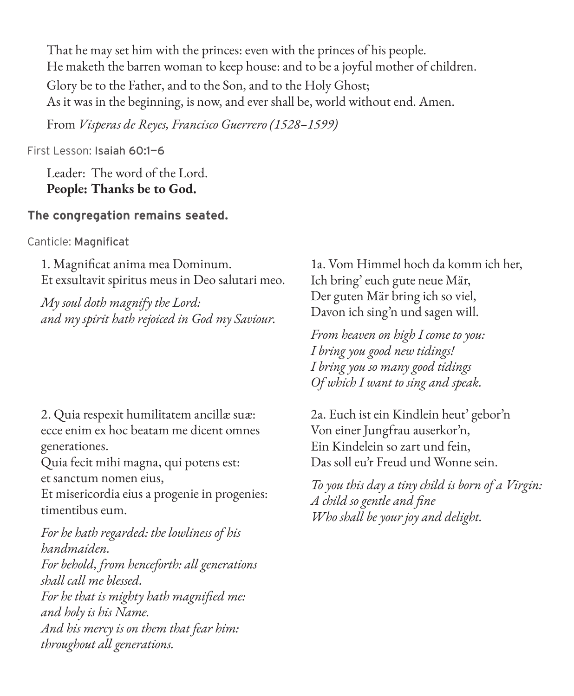That he may set him with the princes: even with the princes of his people. He maketh the barren woman to keep house: and to be a joyful mother of children. Glory be to the Father, and to the Son, and to the Holy Ghost; As it was in the beginning, is now, and ever shall be, world without end. Amen.

From *Visperas de Reyes, Francisco Guerrero (1528–1599)*

First Lesson: Isaiah 60:1—6

Leader: The word of the Lord. **People: Thanks be to God.**

### **The congregation remains seated.**

Canticle: Magnificat

1. Magnificat anima mea Dominum. Et exsultavit spiritus meus in Deo salutari meo.

*My soul doth magnify the Lord: and my spirit hath rejoiced in God my Saviour.*

2. Quia respexit humilitatem ancillæ suæ: ecce enim ex hoc beatam me dicent omnes generationes.

Quia fecit mihi magna, qui potens est: et sanctum nomen eius,

Et misericordia eius a progenie in progenies: timentibus eum.

*For he hath regarded: the lowliness of his handmaiden. For behold, from henceforth: all generations shall call me blessed. For he that is mighty hath magnified me: and holy is his Name. And his mercy is on them that fear him: throughout all generations.*

1a. Vom Himmel hoch da komm ich her, Ich bring' euch gute neue Mär, Der guten Mär bring ich so viel, Davon ich sing'n und sagen will.

*From heaven on high I come to you: I bring you good new tidings! I bring you so many good tidings Of which I want to sing and speak.*

2a. Euch ist ein Kindlein heut' gebor'n Von einer Jungfrau auserkor'n, Ein Kindelein so zart und fein, Das soll eu'r Freud und Wonne sein.

*To you this day a tiny child is born of a Virgin: A child so gentle and fine Who shall be your joy and delight.*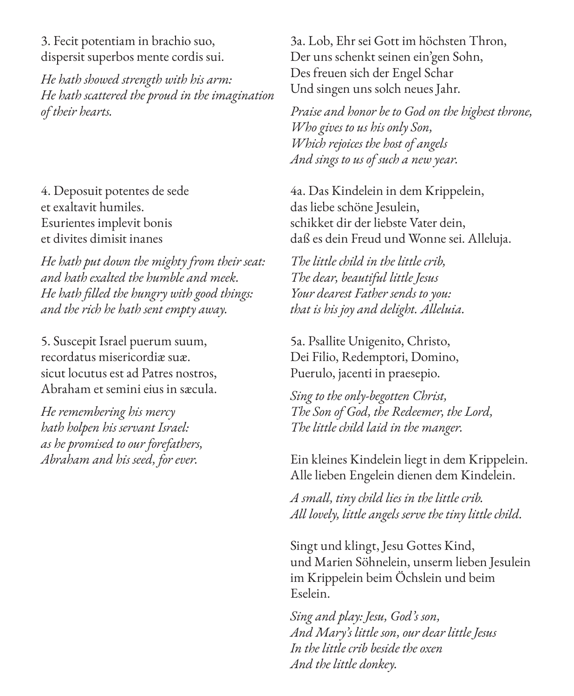3. Fecit potentiam in brachio suo, dispersit superbos mente cordis sui.

*He hath showed strength with his arm: He hath scattered the proud in the imagination of their hearts.*

4. Deposuit potentes de sede et exaltavit humiles. Esurientes implevit bonis et divites dimisit inanes

*He hath put down the mighty from their seat: and hath exalted the humble and meek. He hath filled the hungry with good things: and the rich he hath sent empty away.*

5. Suscepit Israel puerum suum, recordatus misericordiæ suæ. sicut locutus est ad Patres nostros, Abraham et semini eius in sæcula.

*He remembering his mercy hath holpen his servant Israel: as he promised to our forefathers, Abraham and his seed, for ever.*

3a. Lob, Ehr sei Gott im höchsten Thron, Der uns schenkt seinen ein'gen Sohn, Des freuen sich der Engel Schar Und singen uns solch neues Jahr.

*Praise and honor be to God on the highest throne, Who gives to us his only Son, Which rejoices the host of angels And sings to us of such a new year.*

4a. Das Kindelein in dem Krippelein, das liebe schöne Jesulein, schikket dir der liebste Vater dein, daß es dein Freud und Wonne sei. Alleluja.

*The little child in the little crib, The dear, beautiful little Jesus Your dearest Father sends to you: that is his joy and delight. Alleluia.*

5a. Psallite Unigenito, Christo, Dei Filio, Redemptori, Domino, Puerulo, jacenti in praesepio.

*Sing to the only-begotten Christ, The Son of God, the Redeemer, the Lord, The little child laid in the manger.*

Ein kleines Kindelein liegt in dem Krippelein. Alle lieben Engelein dienen dem Kindelein.

*A small, tiny child lies in the little crib. All lovely, little angels serve the tiny little child.*

Singt und klingt, Jesu Gottes Kind, und Marien Söhnelein, unserm lieben Jesulein im Krippelein beim Öchslein und beim Eselein.

*Sing and play: Jesu, God's son, And Mary's little son, our dear little Jesus In the little crib beside the oxen And the little donkey.*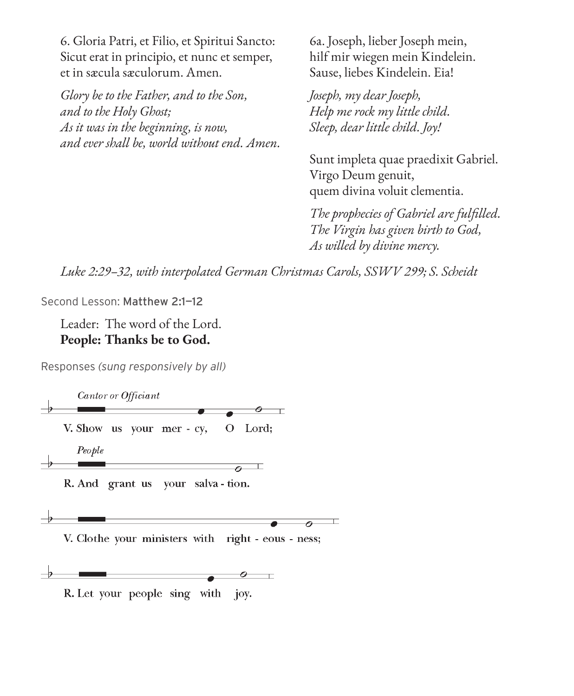6. Gloria Patri, et Filio, et Spiritui Sancto: Sicut erat in principio, et nunc et semper, et in sæcula sæculorum. Amen.

*Glory be to the Father, and to the Son, and to the Holy Ghost; As it was in the beginning, is now, and ever shall be, world without end. Amen.* 6a. Joseph, lieber Joseph mein, hilf mir wiegen mein Kindelein. Sause, liebes Kindelein. Eia!

*Joseph, my dear Joseph, Help me rock my little child. Sleep, dear little child. Joy!*

Sunt impleta quae praedixit Gabriel. Virgo Deum genuit, quem divina voluit clementia.

*The prophecies of Gabriel are fulfilled. The Virgin has given birth to God, As willed by divine mercy.*

*Luke 2:29–32, with interpolated German Christmas Carols, SSWV 299; S. Scheidt*

Second Lesson: Matthew 2:1-12

Leader: The word of the Lord. **People: Thanks be to God.**

Responses *(sung responsively by all)*

Cantor or Officiant  $\circ$   $\top$ V. Show us your mer - cy, O Lord; People  $\overline{\mathfrak{o}}$ 

R. And grant us your salva - tion.



V. Clothe your ministers with right - eous - ness;



R. Let your people sing with joy.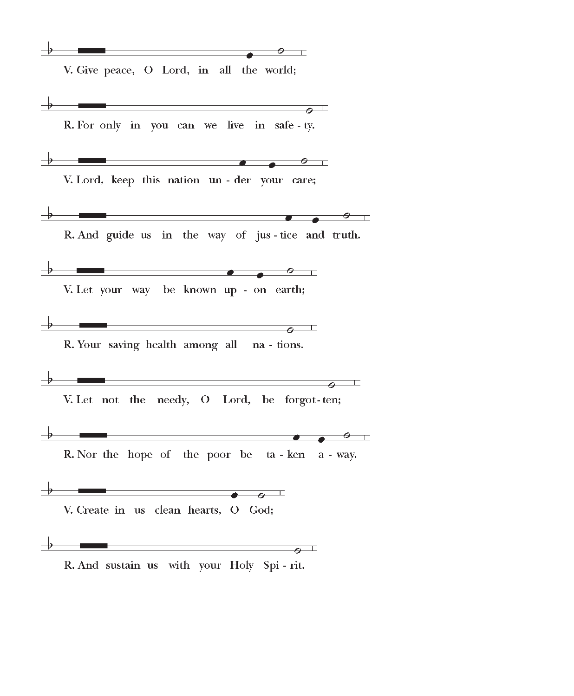$\overline{\phantom{a}}$   $\overline{\phantom{a}}$   $\overline{\phantom{a}}$   $\overline{\phantom{a}}$   $\overline{\phantom{a}}$   $\overline{\phantom{a}}$   $\overline{\phantom{a}}$   $\overline{\phantom{a}}$   $\overline{\phantom{a}}$   $\overline{\phantom{a}}$   $\overline{\phantom{a}}$   $\overline{\phantom{a}}$   $\overline{\phantom{a}}$   $\overline{\phantom{a}}$   $\overline{\phantom{a}}$   $\overline{\phantom{a}}$   $\overline{\phantom{a}}$   $\overline{\phantom{a}}$   $\overline{\$  $\circ$   $\qquad$ V. Give peace, O Lord, in all the world;

 $\overline{\phantom{a}}$   $\overline{\phantom{a}}$   $\overline{\phantom{a}}$   $\overline{\phantom{a}}$   $\overline{\phantom{a}}$   $\overline{\phantom{a}}$   $\overline{\phantom{a}}$   $\overline{\phantom{a}}$   $\overline{\phantom{a}}$   $\overline{\phantom{a}}$   $\overline{\phantom{a}}$   $\overline{\phantom{a}}$   $\overline{\phantom{a}}$   $\overline{\phantom{a}}$   $\overline{\phantom{a}}$   $\overline{\phantom{a}}$   $\overline{\phantom{a}}$   $\overline{\phantom{a}}$   $\overline{\$ R. For only in you can we live in safe-ty. V. Lord, keep this nation un - der your care; R. And guide us in the way of jus-tice and truth. V. Let your way be known up - on earth; R. Your saving health among all na - tions.  $\frac{1}{2}$  , and the contract of the contract of the contract of the contract of the contract of the contract of the contract of the contract of the contract of the contract of the contract of the contract of the contract V. Let not the needy, O Lord, be forgot-ten; R. Nor the hope of the poor be ta-ken a-way. V. Create in us clean hearts, O God;  $\frac{1}{2}$  , and the contract of the contract of the contract of the contract of the contract of the contract of the contract of the contract of the contract of the contract of the contract of the contract of the contract R. And sustain us with your Holy Spi - rit.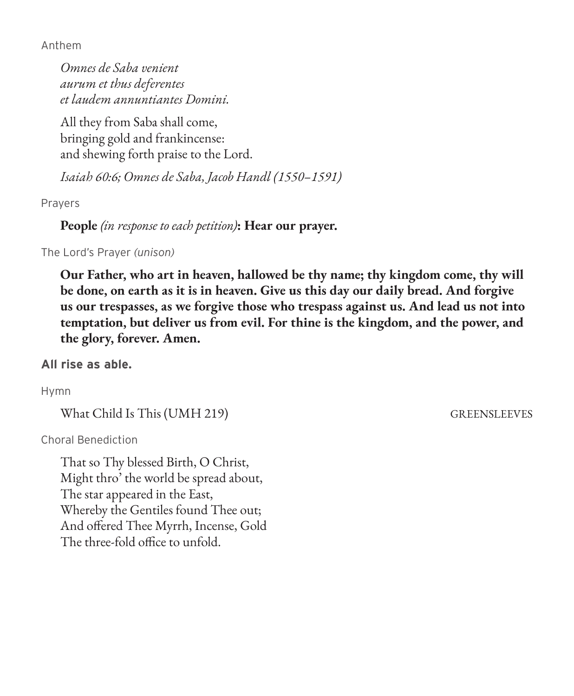Anthem

*Omnes de Saba venient aurum et thus deferentes et laudem annuntiantes Domini.*

All they from Saba shall come, bringing gold and frankincense: and shewing forth praise to the Lord.

*Isaiah 60:6; Omnes de Saba, Jacob Handl (1550–1591)*

Prayers

**People** *(in response to each petition)***: Hear our prayer.**

The Lord's Prayer *(unison)*

**Our Father, who art in heaven, hallowed be thy name; thy kingdom come, thy will be done, on earth as it is in heaven. Give us this day our daily bread. And forgive us our trespasses, as we forgive those who trespass against us. And lead us not into temptation, but deliver us from evil. For thine is the kingdom, and the power, and the glory, forever. Amen.**

**All rise as able.** 

Hymn

What Child Is This (UMH 219) GREENSLEEVES

Choral Benediction

That so Thy blessed Birth, O Christ, Might thro' the world be spread about, The star appeared in the East, Whereby the Gentiles found Thee out; And offered Thee Myrrh, Incense, Gold The three-fold office to unfold.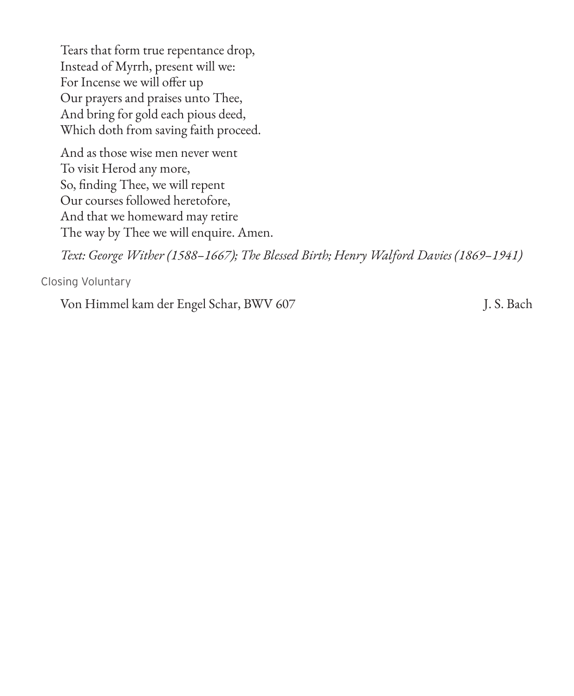Tears that form true repentance drop, Instead of Myrrh, present will we: For Incense we will offer up Our prayers and praises unto Thee, And bring for gold each pious deed, Which doth from saving faith proceed.

And as those wise men never went To visit Herod any more, So, finding Thee, we will repent Our courses followed heretofore, And that we homeward may retire The way by Thee we will enquire. Amen.

*Text: George Wither (1588–1667); The Blessed Birth; Henry Walford Davies (1869–1941)*

Closing Voluntary

Von Himmel kam der Engel Schar, BWV 607 J. S. Bach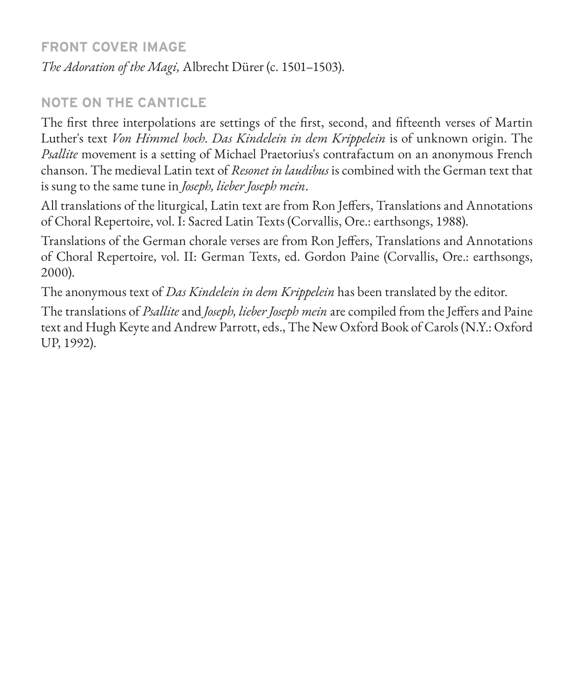### **FRONT COVER IMAGE**

*The Adoration of the Magi,* Albrecht Dürer (c. 1501–1503).

# **NOTE ON THE CANTICLE**

The first three interpolations are settings of the first, second, and fifteenth verses of Martin Luther's text *Von Himmel hoch*. *Das Kindelein in dem Krippelein* is of unknown origin. The *Psallite* movement is a setting of Michael Praetorius's contrafactum on an anonymous French chanson. The medieval Latin text of *Resonet in laudibus* is combined with the German text that is sung to the same tune in *Joseph, lieber Joseph mein*.

All translations of the liturgical, Latin text are from Ron Jeffers, Translations and Annotations of Choral Repertoire, vol. I: Sacred Latin Texts (Corvallis, Ore.: earthsongs, 1988).

Translations of the German chorale verses are from Ron Jeffers, Translations and Annotations of Choral Repertoire, vol. II: German Texts, ed. Gordon Paine (Corvallis, Ore.: earthsongs, 2000).

The anonymous text of *Das Kindelein in dem Krippelein* has been translated by the editor.

The translations of *Psallite* and *Joseph, lieber Joseph mein* are compiled from the Jeffers and Paine text and Hugh Keyte and Andrew Parrott, eds., The New Oxford Book of Carols (N.Y.: Oxford UP, 1992).